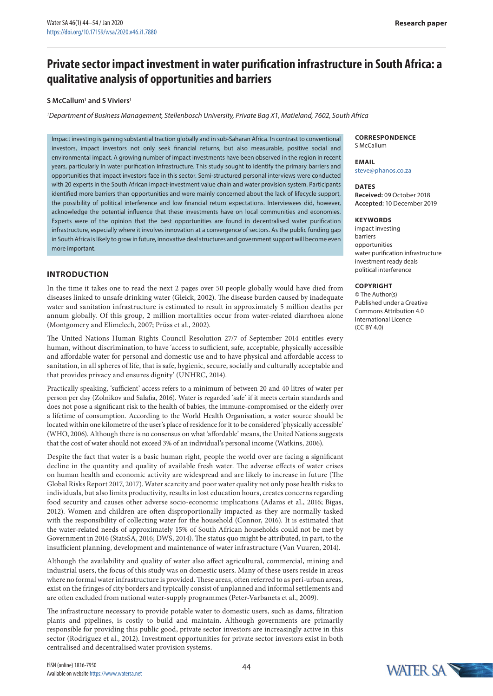# **Private sector impact investment in water purification infrastructure in South Africa: a qualitative analysis of opportunities and barriers**

## **S McCallum1 and S Viviers1**

*1 Department of Business Management, Stellenbosch University, Private Bag X1, Matieland, 7602, South Africa* 

Impact investing is gaining substantial traction globally and in sub-Saharan Africa. In contrast to conventional investors, impact investors not only seek financial returns, but also measurable, positive social and environmental impact. A growing number of impact investments have been observed in the region in recent years, particularly in water purification infrastructure. This study sought to identify the primary barriers and opportunities that impact investors face in this sector. Semi-structured personal interviews were conducted with 20 experts in the South African impact-investment value chain and water provision system. Participants identified more barriers than opportunities and were mainly concerned about the lack of lifecycle support, the possibility of political interference and low financial return expectations. Interviewees did, however, acknowledge the potential influence that these investments have on local communities and economies. Experts were of the opinion that the best opportunities are found in decentralised water purification infrastructure, especially where it involves innovation at a convergence of sectors. As the public funding gap in South Africa is likely to grow in future, innovative deal structures and government support will become even more important.

# **INTRODUCTION**

In the time it takes one to read the next 2 pages over 50 people globally would have died from diseases linked to unsafe drinking water (Gleick, 2002). The disease burden caused by inadequate water and sanitation infrastructure is estimated to result in approximately 5 million deaths per annum globally. Of this group, 2 million mortalities occur from water-related diarrhoea alone (Montgomery and Elimelech, 2007; Prüss et al., 2002).

The United Nations Human Rights Council Resolution 27/7 of September 2014 entitles every human, without discrimination, to have 'access to sufficient, safe, acceptable, physically accessible and affordable water for personal and domestic use and to have physical and affordable access to sanitation, in all spheres of life, that is safe, hygienic, secure, socially and culturally acceptable and that provides privacy and ensures dignity' (UNHRC, 2014).

Practically speaking, 'sufficient' access refers to a minimum of between 20 and 40 litres of water per person per day (Zolnikov and Salafia, 2016). Water is regarded 'safe' if it meets certain standards and does not pose a significant risk to the health of babies, the immune-compromised or the elderly over a lifetime of consumption. According to the World Health Organisation, a water source should be located within one kilometre of the user's place of residence for it to be considered 'physically accessible' (WHO, 2006). Although there is no consensus on what 'affordable' means, the United Nations suggests that the cost of water should not exceed 3% of an individual's personal income (Watkins, 2006).

Despite the fact that water is a basic human right, people the world over are facing a significant decline in the quantity and quality of available fresh water. The adverse effects of water crises on human health and economic activity are widespread and are likely to increase in future (The Global Risks Report 2017, 2017). Water scarcity and poor water quality not only pose health risks to individuals, but also limits productivity, results in lost education hours, creates concerns regarding food security and causes other adverse socio-economic implications (Adams et al., 2016; Bigas, 2012). Women and children are often disproportionally impacted as they are normally tasked with the responsibility of collecting water for the household (Connor, 2016). It is estimated that the water-related needs of approximately 15% of South African households could not be met by Government in 2016 (StatsSA, 2016; DWS, 2014). The status quo might be attributed, in part, to the insufficient planning, development and maintenance of water infrastructure (Van Vuuren, 2014).

Although the availability and quality of water also affect agricultural, commercial, mining and industrial users, the focus of this study was on domestic users. Many of these users reside in areas where no formal water infrastructure is provided. These areas, often referred to as peri-urban areas, exist on the fringes of city borders and typically consist of unplanned and informal settlements and are often excluded from national water-supply programmes (Peter-Varbanets et al., 2009).

The infrastructure necessary to provide potable water to domestic users, such as dams, filtration plants and pipelines, is costly to build and maintain. Although governments are primarily responsible for providing this public good, private sector investors are increasingly active in this sector (Rodriguez et al., 2012). Investment opportunities for private sector investors exist in both centralised and decentralised water provision systems.

#### **CORRESPONDENCE** S McCallum

**EMAIL**

steve@phanos.co.za

#### **DATES Received:** 09 October 2018 **Accepted:** 10 December 2019

## **KEYWORDS**

impact investing barriers opportunities water purification infrastructure investment ready deals political interference

#### **Copyright**

© The Author(s) Published under a Creative Commons Attribution 4.0 International Licence  $(CC$  BY  $4.0)$ 

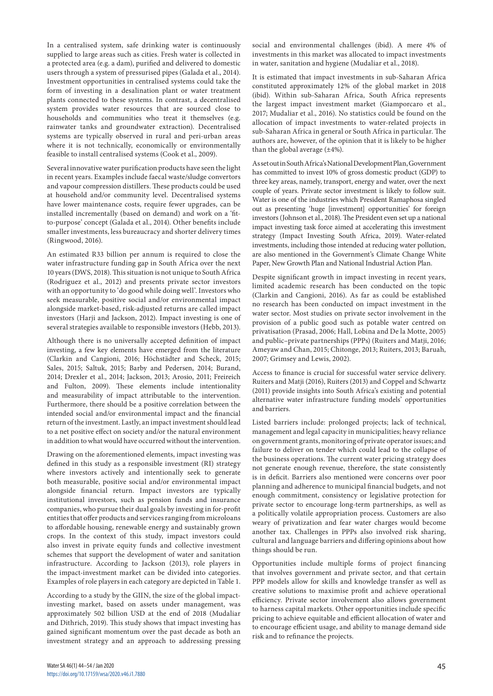In a centralised system, safe drinking water is continuously supplied to large areas such as cities. Fresh water is collected in a protected area (e.g. a dam), purified and delivered to domestic users through a system of pressurised pipes (Galada et al., 2014). Investment opportunities in centralised systems could take the form of investing in a desalination plant or water treatment plants connected to these systems. In contrast, a decentralised system provides water resources that are sourced close to households and communities who treat it themselves (e.g. rainwater tanks and groundwater extraction). Decentralised systems are typically observed in rural and peri-urban areas where it is not technically, economically or environmentally feasible to install centralised systems (Cook et al., 2009).

Several innovative water purification products have seen the light in recent years. Examples include faecal waste/sludge convertors and vapour compression distillers. These products could be used at household and/or community level. Decentralised systems have lower maintenance costs, require fewer upgrades, can be installed incrementally (based on demand) and work on a 'fitto-purpose' concept (Galada et al., 2014). Other benefits include smaller investments, less bureaucracy and shorter delivery times (Ringwood, 2016).

An estimated R33 billion per annum is required to close the water infrastructure funding gap in South Africa over the next 10 years (DWS, 2018). This situation is not unique to South Africa (Rodriguez et al., 2012) and presents private sector investors with an opportunity to 'do good while doing well'. Investors who seek measurable, positive social and/or environmental impact alongside market-based, risk-adjusted returns are called impact investors (Harji and Jackson, 2012). Impact investing is one of several strategies available to responsible investors (Hebb, 2013).

Although there is no universally accepted definition of impact investing, a few key elements have emerged from the literature (Clarkin and Cangioni, 2016; Höchstädter and Scheck, 2015; Sales, 2015; Saltuk, 2015; Barby and Pedersen, 2014; Burand, 2014; Drexler et al., 2014; Jackson, 2013; Arosio, 2011; Freireich and Fulton, 2009). These elements include intentionality and measurability of impact attributable to the intervention. Furthermore, there should be a positive correlation between the intended social and/or environmental impact and the financial return of the investment. Lastly, an impact investment should lead to a net positive effect on society and/or the natural environment in addition to what would have occurred without the intervention.

Drawing on the aforementioned elements, impact investing was defined in this study as a responsible investment (RI) strategy where investors actively and intentionally seek to generate both measurable, positive social and/or environmental impact alongside financial return. Impact investors are typically institutional investors, such as pension funds and insurance companies, who pursue their dual goals by investing in for-profit entities that offer products and services ranging from microloans to affordable housing, renewable energy and sustainably grown crops. In the context of this study, impact investors could also invest in private equity funds and collective investment schemes that support the development of water and sanitation infrastructure. According to Jackson (2013), role players in the impact-investment market can be divided into categories. Examples of role players in each category are depicted in Table 1.

According to a study by the GIIN, the size of the global impactinvesting market, based on assets under management, was approximately 502 billion USD at the end of 2018 (Mudaliar and Dithrich, 2019). This study shows that impact investing has gained significant momentum over the past decade as both an investment strategy and an approach to addressing pressing

social and environmental challenges (ibid). A mere 4% of investments in this market was allocated to impact investments in water, sanitation and hygiene (Mudaliar et al., 2018).

It is estimated that impact investments in sub-Saharan Africa constituted approximately 12% of the global market in 2018 (ibid). Within sub-Saharan Africa, South Africa represents the largest impact investment market (Giamporcaro et al., 2017; Mudaliar et al., 2016). No statistics could be found on the allocation of impact investments to water-related projects in sub-Saharan Africa in general or South Africa in particular. The authors are, however, of the opinion that it is likely to be higher than the global average  $(\pm 4\%)$ .

As set out in South Africa's National Development Plan, Government has committed to invest 10% of gross domestic product (GDP) to three key areas, namely, transport, energy and water, over the next couple of years. Private sector investment is likely to follow suit. Water is one of the industries which President Ramaphosa singled out as presenting 'huge [investment] opportunities' for foreign investors (Johnson et al., 2018). The President even set up a national impact investing task force aimed at accelerating this investment strategy (Impact Investing South Africa, 2019). Water-related investments, including those intended at reducing water pollution, are also mentioned in the Government's Climate Change White Paper, New Growth Plan and National Industrial Action Plan.

Despite significant growth in impact investing in recent years, limited academic research has been conducted on the topic (Clarkin and Cangioni, 2016). As far as could be established no research has been conducted on impact investment in the water sector. Most studies on private sector involvement in the provision of a public good such as potable water centred on privatisation (Prasad, 2006; Hall, Lobina and De la Motte, 2005) and public–private partnerships (PPPs) (Ruiters and Matji, 2016; Ameyaw and Chan, 2015; Chitonge, 2013; Ruiters, 2013; Baruah, 2007; Grimsey and Lewis, 2002).

Access to finance is crucial for successful water service delivery. Ruiters and Matji (2016), Ruiters (2013) and Coppel and Schwartz (2011) provide insights into South Africa's existing and potential alternative water infrastructure funding models' opportunities and barriers.

Listed barriers include: prolonged projects; lack of technical, management and legal capacity in municipalities; heavy reliance on government grants, monitoring of private operator issues; and failure to deliver on tender which could lead to the collapse of the business operations. The current water pricing strategy does not generate enough revenue, therefore, the state consistently is in deficit. Barriers also mentioned were concerns over poor planning and adherence to municipal financial budgets, and not enough commitment, consistency or legislative protection for private sector to encourage long-term partnerships, as well as a politically volatile appropriation process. Customers are also weary of privatization and fear water charges would become another tax. Challenges in PPPs also involved risk sharing, cultural and language barriers and differing opinions about how things should be run.

Opportunities include multiple forms of project financing that involves government and private sector, and that certain PPP models allow for skills and knowledge transfer as well as creative solutions to maximise profit and achieve operational efficiency. Private sector involvement also allows government to harness capital markets. Other opportunities include specific pricing to achieve equitable and efficient allocation of water and to encourage efficient usage, and ability to manage demand side risk and to refinance the projects.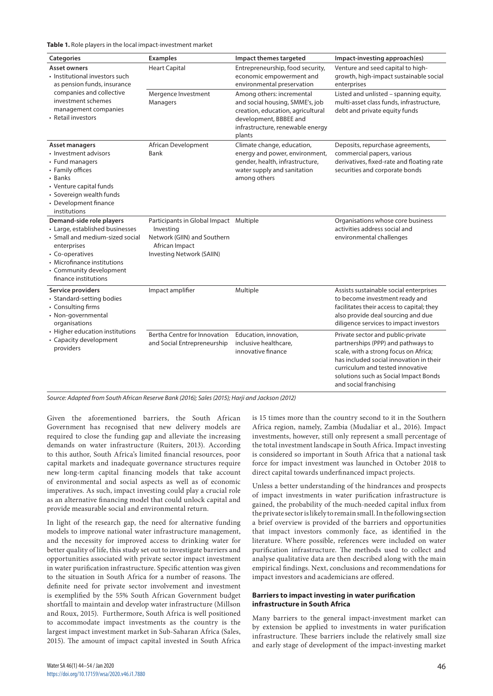**Table 1.** Role players in the local impact-investment market

| Categories                                                                                                                                                                                                         | <b>Examples</b>                                                                                                                   | Impact themes targeted                                                                                                                                                    | Impact-investing approach(es)                                                                                                                                                                                                                                      |
|--------------------------------------------------------------------------------------------------------------------------------------------------------------------------------------------------------------------|-----------------------------------------------------------------------------------------------------------------------------------|---------------------------------------------------------------------------------------------------------------------------------------------------------------------------|--------------------------------------------------------------------------------------------------------------------------------------------------------------------------------------------------------------------------------------------------------------------|
|                                                                                                                                                                                                                    |                                                                                                                                   |                                                                                                                                                                           |                                                                                                                                                                                                                                                                    |
| <b>Asset owners</b><br>• Institutional investors such<br>as pension funds, insurance<br>companies and collective<br>investment schemes<br>management companies<br>• Retail investors                               | <b>Heart Capital</b>                                                                                                              | Entrepreneurship, food security,<br>economic empowerment and<br>environmental preservation                                                                                | Venture and seed capital to high-<br>growth, high-impact sustainable social<br>enterprises                                                                                                                                                                         |
|                                                                                                                                                                                                                    | Mergence Investment<br>Managers                                                                                                   | Among others: incremental<br>and social housing, SMME's, job<br>creation, education, agricultural<br>development, BBBEE and<br>infrastructure, renewable energy<br>plants | Listed and unlisted - spanning equity,<br>multi-asset class funds, infrastructure,<br>debt and private equity funds                                                                                                                                                |
| Asset managers<br>• Investment advisors<br>• Fund managers<br>• Family offices<br>• Banks<br>• Venture capital funds<br>· Sovereign wealth funds<br>• Development finance<br>institutions                          | African Development<br>Bank                                                                                                       | Climate change, education,<br>energy and power, environment,<br>gender, health, infrastructure,<br>water supply and sanitation<br>among others                            | Deposits, repurchase agreements,<br>commercial papers, various<br>derivatives, fixed-rate and floating rate<br>securities and corporate bonds                                                                                                                      |
| Demand-side role players<br>• Large, established businesses<br>• Small and medium-sized social<br>enterprises<br>• Co-operatives<br>• Microfinance institutions<br>• Community development<br>finance institutions | Participants in Global Impact Multiple<br>Investing<br>Network (GIIN) and Southern<br>African Impact<br>Investing Network (SAIIN) |                                                                                                                                                                           | Organisations whose core business<br>activities address social and<br>environmental challenges                                                                                                                                                                     |
| Service providers<br>• Standard-setting bodies<br>• Consulting firms<br>• Non-governmental<br>organisations<br>• Higher education institutions<br>• Capacity development<br>providers                              | Impact amplifier                                                                                                                  | Multiple                                                                                                                                                                  | Assists sustainable social enterprises<br>to become investment ready and<br>facilitates their access to capital; they<br>also provide deal sourcing and due<br>diligence services to impact investors                                                              |
|                                                                                                                                                                                                                    | Bertha Centre for Innovation<br>and Social Entrepreneurship                                                                       | Education, innovation,<br>inclusive healthcare.<br>innovative finance                                                                                                     | Private sector and public-private<br>partnerships (PPP) and pathways to<br>scale, with a strong focus on Africa;<br>has included social innovation in their<br>curriculum and tested innovative<br>solutions such as Social Impact Bonds<br>and social franchising |

*Source: Adapted from South African Reserve Bank (2016); Sales (2015); Harji and Jackson (2012)*

Given the aforementioned barriers, the South African Government has recognised that new delivery models are required to close the funding gap and alleviate the increasing demands on water infrastructure (Ruiters, 2013). According to this author, South Africa's limited financial resources, poor capital markets and inadequate governance structures require new long-term capital financing models that take account of environmental and social aspects as well as of economic imperatives. As such, impact investing could play a crucial role as an alternative financing model that could unlock capital and provide measurable social and environmental return.

In light of the research gap, the need for alternative funding models to improve national water infrastructure management, and the necessity for improved access to drinking water for better quality of life, this study set out to investigate barriers and opportunities associated with private sector impact investment in water purification infrastructure. Specific attention was given to the situation in South Africa for a number of reasons. The definite need for private sector involvement and investment is exemplified by the 55% South African Government budget shortfall to maintain and develop water infrastructure (Millson and Roux, 2015). Furthermore, South Africa is well positioned to accommodate impact investments as the country is the largest impact investment market in Sub-Saharan Africa (Sales, 2015). The amount of impact capital invested in South Africa

is 15 times more than the country second to it in the Southern Africa region, namely, Zambia (Mudaliar et al., 2016). Impact investments, however, still only represent a small percentage of the total investment landscape in South Africa. Impact investing is considered so important in South Africa that a national task force for impact investment was launched in October 2018 to direct capital towards underfinanced impact projects.

Unless a better understanding of the hindrances and prospects of impact investments in water purification infrastructure is gained, the probability of the much-needed capital influx from the private sector is likely to remain small. In the following section a brief overview is provided of the barriers and opportunities that impact investors commonly face, as identified in the literature. Where possible, references were included on water purification infrastructure. The methods used to collect and analyse qualitative data are then described along with the main empirical findings. Next, conclusions and recommendations for impact investors and academicians are offered.

## **Barriers to impact investing in water purification infrastructure in South Africa**

Many barriers to the general impact-investment market can by extension be applied to investments in water purification infrastructure. These barriers include the relatively small size and early stage of development of the impact-investing market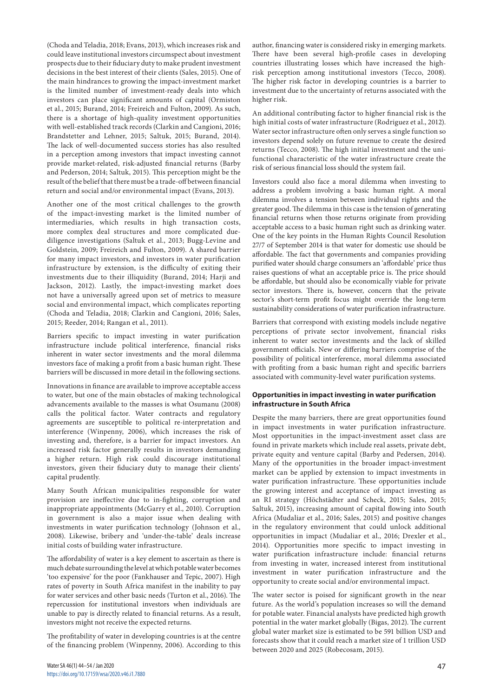(Choda and Teladia, 2018; Evans, 2013), which increases risk and could leave institutional investors circumspect about investment prospects due to their fiduciary duty to make prudent investment decisions in the best interest of their clients (Sales, 2015). One of the main hindrances to growing the impact-investment market is the limited number of investment-ready deals into which investors can place significant amounts of capital (Ormiston et al., 2015; Burand, 2014; Freireich and Fulton, 2009). As such, there is a shortage of high-quality investment opportunities with well-established track records (Clarkin and Cangioni, 2016; Brandstetter and Lehner, 2015; Saltuk, 2015; Burand, 2014). The lack of well-documented success stories has also resulted in a perception among investors that impact investing cannot provide market-related, risk-adjusted financial returns (Barby and Pederson, 2014; Saltuk, 2015). This perception might be the result of the belief that there must be a trade-off between financial return and social and/or environmental impact (Evans, 2013).

Another one of the most critical challenges to the growth of the impact-investing market is the limited number of intermediaries, which results in high transaction costs, more complex deal structures and more complicated duediligence investigations (Saltuk et al., 2013; Bugg-Levine and Goldstein, 2009; Freireich and Fulton, 2009). A shared barrier for many impact investors, and investors in water purification infrastructure by extension, is the difficulty of exiting their investments due to their illiquidity (Burand, 2014; Harji and Jackson, 2012). Lastly, the impact-investing market does not have a universally agreed upon set of metrics to measure social and environmental impact, which complicates reporting (Choda and Teladia, 2018; Clarkin and Cangioni, 2016; Sales, 2015; Reeder, 2014; Rangan et al., 2011).

Barriers specific to impact investing in water purification infrastructure include political interference, financial risks inherent in water sector investments and the moral dilemma investors face of making a profit from a basic human right. These barriers will be discussed in more detail in the following sections.

Innovations in finance are available to improve acceptable access to water, but one of the main obstacles of making technological advancements available to the masses is what Osumanu (2008) calls the political factor. Water contracts and regulatory agreements are susceptible to political re-interpretation and interference (Winpenny, 2006), which increases the risk of investing and, therefore, is a barrier for impact investors. An increased risk factor generally results in investors demanding a higher return. High risk could discourage institutional investors, given their fiduciary duty to manage their clients' capital prudently.

Many South African municipalities responsible for water provision are ineffective due to in-fighting, corruption and inappropriate appointments (McGarry et al., 2010). Corruption in government is also a major issue when dealing with investments in water purification technology (Johnson et al., 2008). Likewise, bribery and 'under-the-table' deals increase initial costs of building water infrastructure.

The affordability of water is a key element to ascertain as there is much debate surrounding the level at which potable water becomes 'too expensive' for the poor (Fankhauser and Tepic, 2007). High rates of poverty in South Africa manifest in the inability to pay for water services and other basic needs (Turton et al., 2016). The repercussion for institutional investors when individuals are unable to pay is directly related to financial returns. As a result, investors might not receive the expected returns.

The profitability of water in developing countries is at the centre of the financing problem (Winpenny, 2006). According to this

author, financing water is considered risky in emerging markets. There have been several high-profile cases in developing countries illustrating losses which have increased the highrisk perception among institutional investors (Tecco, 2008). The higher risk factor in developing countries is a barrier to investment due to the uncertainty of returns associated with the higher risk.

An additional contributing factor to higher financial risk is the high initial costs of water infrastructure (Rodriguez et al., 2012). Water sector infrastructure often only serves a single function so investors depend solely on future revenue to create the desired returns (Tecco, 2008). The high initial investment and the unifunctional characteristic of the water infrastructure create the risk of serious financial loss should the system fail.

Investors could also face a moral dilemma when investing to address a problem involving a basic human right. A moral dilemma involves a tension between individual rights and the greater good. The dilemma in this case is the tension of generating financial returns when those returns originate from providing acceptable access to a basic human right such as drinking water. One of the key points in the Human Rights Council Resolution 27/7 of September 2014 is that water for domestic use should be affordable. The fact that governments and companies providing purified water should charge consumers an 'affordable' price thus raises questions of what an acceptable price is. The price should be affordable, but should also be economically viable for private sector investors. There is, however, concern that the private sector's short-term profit focus might override the long-term sustainability considerations of water purification infrastructure.

Barriers that correspond with existing models include negative perceptions of private sector involvement, financial risks inherent to water sector investments and the lack of skilled government officials. New or differing barriers comprise of the possibility of political interference, moral dilemma associated with profiting from a basic human right and specific barriers associated with community-level water purification systems.

# **Opportunities in impact investing in water purification infrastructure in South Africa**

Despite the many barriers, there are great opportunities found in impact investments in water purification infrastructure. Most opportunities in the impact-investment asset class are found in private markets which include real assets, private debt, private equity and venture capital (Barby and Pedersen, 2014). Many of the opportunities in the broader impact-investment market can be applied by extension to impact investments in water purification infrastructure. These opportunities include the growing interest and acceptance of impact investing as an RI strategy (Höchstädter and Scheck, 2015; Sales, 2015; Saltuk, 2015), increasing amount of capital flowing into South Africa (Mudaliar et al., 2016; Sales, 2015) and positive changes in the regulatory environment that could unlock additional opportunities in impact (Mudaliar et al., 2016; Drexler et al., 2014). Opportunities more specific to impact investing in water purification infrastructure include: financial returns from investing in water, increased interest from institutional investment in water purification infrastructure and the opportunity to create social and/or environmental impact.

The water sector is poised for significant growth in the near future. As the world's population increases so will the demand for potable water. Financial analysts have predicted high growth potential in the water market globally (Bigas, 2012). The current global water market size is estimated to be 591 billion USD and forecasts show that it could reach a market size of 1 trillion USD between 2020 and 2025 (Robecosam, 2015).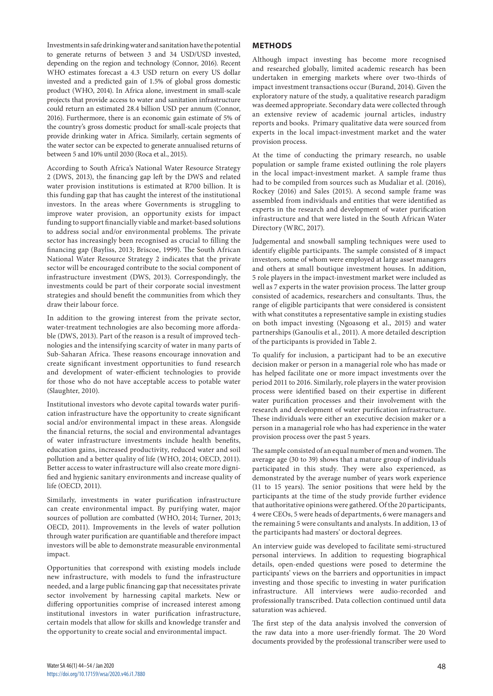this funding gap that has caught the interest of the institutional investors. In the areas where Governments is struggling to improve water provision, an opportunity exists for impact funding to support financially viable and market-based solutions to address social and/or environmental problems. The private sector has increasingly been recognised as crucial to filling the financing gap (Bayliss, 2013; Briscoe, 1999). The South African National Water Resource Strategy 2 indicates that the private sector will be encouraged contribute to the social component of infrastructure investment (DWS, 2013). Correspondingly, the investments could be part of their corporate social investment strategies and should benefit the communities from which they draw their labour force.

between 5 and 10% until 2030 (Roca et al., 2015).

In addition to the growing interest from the private sector, water-treatment technologies are also becoming more affordable (DWS, 2013). Part of the reason is a result of improved technologies and the intensifying scarcity of water in many parts of Sub-Saharan Africa. These reasons encourage innovation and create significant investment opportunities to fund research and development of water-efficient technologies to provide for those who do not have acceptable access to potable water (Slaughter, 2010).

Investments in safe drinking water and sanitation have the potential to generate returns of between 3 and 34 USD/USD invested, depending on the region and technology (Connor, 2016). Recent WHO estimates forecast a 4.3 USD return on every US dollar invested and a predicted gain of 1.5% of global gross domestic product (WHO, 2014). In Africa alone, investment in small-scale projects that provide access to water and sanitation infrastructure could return an estimated 28.4 billion USD per annum (Connor, 2016). Furthermore, there is an economic gain estimate of 5% of the country's gross domestic product for small-scale projects that provide drinking water in Africa. Similarly, certain segments of the water sector can be expected to generate annualised returns of

According to South Africa's National Water Resource Strategy 2 (DWS, 2013), the financing gap left by the DWS and related water provision institutions is estimated at R700 billion. It is

Institutional investors who devote capital towards water purification infrastructure have the opportunity to create significant social and/or environmental impact in these areas. Alongside the financial returns, the social and environmental advantages of water infrastructure investments include health benefits, education gains, increased productivity, reduced water and soil pollution and a better quality of life (WHO, 2014; OECD, 2011). Better access to water infrastructure will also create more dignified and hygienic sanitary environments and increase quality of life (OECD, 2011).

Similarly, investments in water purification infrastructure can create environmental impact. By purifying water, major sources of pollution are combatted (WHO, 2014; Turner, 2013; OECD, 2011). Improvements in the levels of water pollution through water purification are quantifiable and therefore impact investors will be able to demonstrate measurable environmental impact.

Opportunities that correspond with existing models include new infrastructure, with models to fund the infrastructure needed, and a large public financing gap that necessitates private sector involvement by harnessing capital markets. New or differing opportunities comprise of increased interest among institutional investors in water purification infrastructure, certain models that allow for skills and knowledge transfer and the opportunity to create social and environmental impact.

# **METHODS**

Although impact investing has become more recognised and researched globally, limited academic research has been undertaken in emerging markets where over two-thirds of impact investment transactions occur (Burand, 2014). Given the exploratory nature of the study, a qualitative research paradigm was deemed appropriate. Secondary data were collected through an extensive review of academic journal articles, industry reports and books. Primary qualitative data were sourced from experts in the local impact-investment market and the water provision process.

At the time of conducting the primary research, no usable population or sample frame existed outlining the role players in the local impact-investment market. A sample frame thus had to be compiled from sources such as Mudaliar et al. (2016), Rockey (2016) and Sales (2015). A second sample frame was assembled from individuals and entities that were identified as experts in the research and development of water purification infrastructure and that were listed in the South African Water Directory (WRC, 2017).

Judgemental and snowball sampling techniques were used to identify eligible participants. The sample consisted of 8 impact investors, some of whom were employed at large asset managers and others at small boutique investment houses. In addition, 5 role players in the impact-investment market were included as well as 7 experts in the water provision process. The latter group consisted of academics, researchers and consultants. Thus, the range of eligible participants that were considered is consistent with what constitutes a representative sample in existing studies on both impact investing (Ngoasong et al., 2015) and water partnerships (Ganoulis et al., 2011). A more detailed description of the participants is provided in Table 2.

To qualify for inclusion, a participant had to be an executive decision maker or person in a managerial role who has made or has helped facilitate one or more impact investments over the period 2011 to 2016. Similarly, role players in the water provision process were identified based on their expertise in different water purification processes and their involvement with the research and development of water purification infrastructure. These individuals were either an executive decision maker or a person in a managerial role who has had experience in the water provision process over the past 5 years.

The sample consisted of an equal number of men and women. The average age (30 to 39) shows that a mature group of individuals participated in this study. They were also experienced, as demonstrated by the average number of years work experience (11 to 15 years). The senior positions that were held by the participants at the time of the study provide further evidence that authoritative opinions were gathered. Of the 20 participants, 4 were CEOs, 5 were heads of departments, 6 were managers and the remaining 5 were consultants and analysts. In addition, 13 of the participants had masters' or doctoral degrees.

An interview guide was developed to facilitate semi-structured personal interviews. In addition to requesting biographical details, open-ended questions were posed to determine the participants' views on the barriers and opportunities in impact investing and those specific to investing in water purification infrastructure. All interviews were audio-recorded and professionally transcribed. Data collection continued until data saturation was achieved.

The first step of the data analysis involved the conversion of the raw data into a more user-friendly format. The 20 Word documents provided by the professional transcriber were used to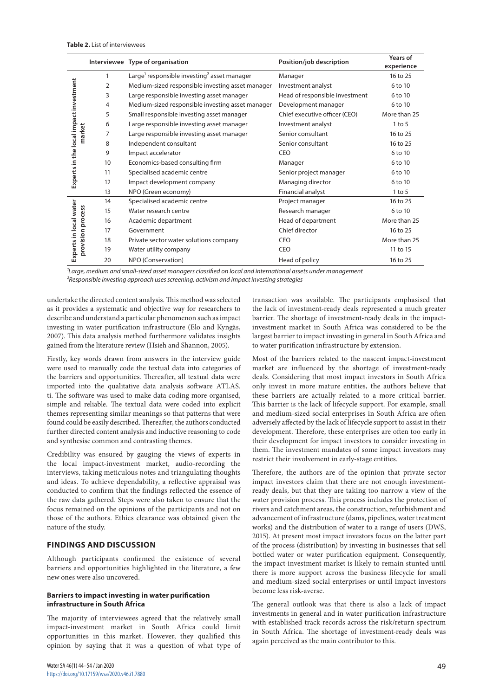|                                                  |                | Interviewee Type of organisation                                    | Position/job description       | Years of<br>experience |
|--------------------------------------------------|----------------|---------------------------------------------------------------------|--------------------------------|------------------------|
| Experts in the local impact investment<br>market | 1              | Large <sup>1</sup> responsible investing <sup>2</sup> asset manager | Manager                        | 16 to 25               |
|                                                  | $\overline{2}$ | Medium-sized responsible investing asset manager                    | Investment analyst             | 6 to 10                |
|                                                  | 3              | Large responsible investing asset manager                           | Head of responsible investment | 6 to 10                |
|                                                  | 4              | Medium-sized responsible investing asset manager                    | Development manager            | 6 to 10                |
|                                                  | 5              | Small responsible investing asset manager                           | Chief executive officer (CEO)  | More than 25           |
|                                                  | 6              | Large responsible investing asset manager                           | Investment analyst             | $1$ to 5               |
|                                                  | 7              | Large responsible investing asset manager                           | Senior consultant              | 16 to 25               |
|                                                  | 8              | Independent consultant                                              | Senior consultant              | 16 to 25               |
|                                                  | 9              | Impact accelerator                                                  | CEO                            | 6 to 10                |
|                                                  | 10             | Economics-based consulting firm                                     | Manager                        | 6 to 10                |
|                                                  | 11             | Specialised academic centre                                         | Senior project manager         | 6 to 10                |
|                                                  | 12             | Impact development company                                          | Managing director              | 6 to 10                |
|                                                  | 13             | NPO (Green economy)                                                 | Financial analyst              | $1$ to 5               |
| Experts in local water<br>provision process      | 14             | Specialised academic centre                                         | Project manager                | 16 to 25               |
|                                                  | 15             | Water research centre                                               | Research manager               | 6 to 10                |
|                                                  | 16             | Academic department                                                 | Head of department             | More than 25           |
|                                                  | 17             | Government                                                          | Chief director                 | 16 to 25               |
|                                                  | 18             | Private sector water solutions company                              | <b>CEO</b>                     | More than 25           |
|                                                  | 19             | Water utility company                                               | <b>CEO</b>                     | 11 to 15               |
|                                                  | 20             | NPO (Conservation)                                                  | Head of policy                 | 16 to 25               |

*¹Large, medium and small-sized asset managers classified on local and international assets under management ²Responsible investing approach uses screening, activism and impact investing strategies* 

undertake the directed content analysis. This method was selected as it provides a systematic and objective way for researchers to describe and understand a particular phenomenon such as impact investing in water purification infrastructure (Elo and Kyngäs, 2007). This data analysis method furthermore validates insights gained from the literature review (Hsieh and Shannon, 2005).

Firstly, key words drawn from answers in the interview guide were used to manually code the textual data into categories of the barriers and opportunities. Thereafter, all textual data were imported into the qualitative data analysis software ATLAS. ti. The software was used to make data coding more organised, simple and reliable. The textual data were coded into explicit themes representing similar meanings so that patterns that were found could be easily described. Thereafter, the authors conducted further directed content analysis and inductive reasoning to code and synthesise common and contrasting themes.

Credibility was ensured by gauging the views of experts in the local impact-investment market, audio-recording the interviews, taking meticulous notes and triangulating thoughts and ideas. To achieve dependability, a reflective appraisal was conducted to confirm that the findings reflected the essence of the raw data gathered. Steps were also taken to ensure that the focus remained on the opinions of the participants and not on those of the authors. Ethics clearance was obtained given the nature of the study.

# **FINDINGS AND DISCUSSION**

Although participants confirmed the existence of several barriers and opportunities highlighted in the literature, a few new ones were also uncovered.

## **Barriers to impact investing in water purification infrastructure in South Africa**

The majority of interviewees agreed that the relatively small impact-investment market in South Africa could limit opportunities in this market. However, they qualified this opinion by saying that it was a question of what type of transaction was available. The participants emphasised that the lack of investment-ready deals represented a much greater barrier. The shortage of investment-ready deals in the impactinvestment market in South Africa was considered to be the largest barrier to impact investing in general in South Africa and to water purification infrastructure by extension.

Most of the barriers related to the nascent impact-investment market are influenced by the shortage of investment-ready deals. Considering that most impact investors in South Africa only invest in more mature entities, the authors believe that these barriers are actually related to a more critical barrier. This barrier is the lack of lifecycle support. For example, small and medium-sized social enterprises in South Africa are often adversely affected by the lack of lifecycle support to assist in their development. Therefore, these enterprises are often too early in their development for impact investors to consider investing in them. The investment mandates of some impact investors may restrict their involvement in early-stage entities.

Therefore, the authors are of the opinion that private sector impact investors claim that there are not enough investmentready deals, but that they are taking too narrow a view of the water provision process. This process includes the protection of rivers and catchment areas, the construction, refurbishment and advancement of infrastructure (dams, pipelines, water treatment works) and the distribution of water to a range of users (DWS, 2015). At present most impact investors focus on the latter part of the process (distribution) by investing in businesses that sell bottled water or water purification equipment. Consequently, the impact-investment market is likely to remain stunted until there is more support across the business lifecycle for small and medium-sized social enterprises or until impact investors become less risk-averse.

The general outlook was that there is also a lack of impact investments in general and in water purification infrastructure with established track records across the risk/return spectrum in South Africa. The shortage of investment-ready deals was again perceived as the main contributor to this.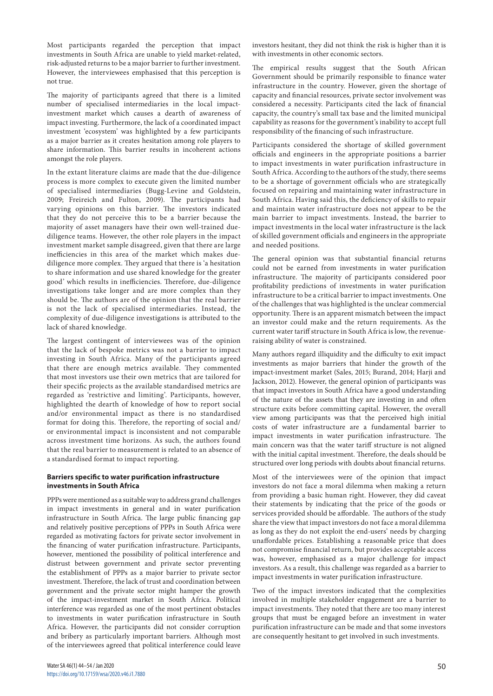Most participants regarded the perception that impact investments in South Africa are unable to yield market-related, risk-adjusted returns to be a major barrier to further investment. However, the interviewees emphasised that this perception is not true.

The majority of participants agreed that there is a limited number of specialised intermediaries in the local impactinvestment market which causes a dearth of awareness of impact investing. Furthermore, the lack of a coordinated impact investment 'ecosystem' was highlighted by a few participants as a major barrier as it creates hesitation among role players to share information. This barrier results in incoherent actions amongst the role players.

In the extant literature claims are made that the due-diligence process is more complex to execute given the limited number of specialised intermediaries (Bugg-Levine and Goldstein, 2009; Freireich and Fulton, 2009). The participants had varying opinions on this barrier. The investors indicated that they do not perceive this to be a barrier because the majority of asset managers have their own well-trained duediligence teams. However, the other role players in the impact investment market sample disagreed, given that there are large inefficiencies in this area of the market which makes duediligence more complex. They argued that there is 'a hesitation to share information and use shared knowledge for the greater good' which results in inefficiencies. Therefore, due-diligence investigations take longer and are more complex than they should be. The authors are of the opinion that the real barrier is not the lack of specialised intermediaries. Instead, the complexity of due-diligence investigations is attributed to the lack of shared knowledge.

The largest contingent of interviewees was of the opinion that the lack of bespoke metrics was not a barrier to impact investing in South Africa. Many of the participants agreed that there are enough metrics available. They commented that most investors use their own metrics that are tailored for their specific projects as the available standardised metrics are regarded as 'restrictive and limiting'. Participants, however, highlighted the dearth of knowledge of how to report social and/or environmental impact as there is no standardised format for doing this. Therefore, the reporting of social and/ or environmental impact is inconsistent and not comparable across investment time horizons. As such, the authors found that the real barrier to measurement is related to an absence of a standardised format to impact reporting.

## **Barriers specific to water purification infrastructure investments in South Africa**

PPPs were mentioned as a suitable way to address grand challenges in impact investments in general and in water purification infrastructure in South Africa. The large public financing gap and relatively positive perceptions of PPPs in South Africa were regarded as motivating factors for private sector involvement in the financing of water purification infrastructure. Participants, however, mentioned the possibility of political interference and distrust between government and private sector preventing the establishment of PPPs as a major barrier to private sector investment. Therefore, the lack of trust and coordination between government and the private sector might hamper the growth of the impact-investment market in South Africa. Political interference was regarded as one of the most pertinent obstacles to investments in water purification infrastructure in South Africa. However, the participants did not consider corruption and bribery as particularly important barriers. Although most of the interviewees agreed that political interference could leave

investors hesitant, they did not think the risk is higher than it is with investments in other economic sectors.

The empirical results suggest that the South African Government should be primarily responsible to finance water infrastructure in the country. However, given the shortage of capacity and financial resources, private sector involvement was considered a necessity. Participants cited the lack of financial capacity, the country's small tax base and the limited municipal capability as reasons for the government's inability to accept full responsibility of the financing of such infrastructure.

Participants considered the shortage of skilled government officials and engineers in the appropriate positions a barrier to impact investments in water purification infrastructure in South Africa. According to the authors of the study, there seems to be a shortage of government officials who are strategically focused on repairing and maintaining water infrastructure in South Africa. Having said this, the deficiency of skills to repair and maintain water infrastructure does not appear to be the main barrier to impact investments. Instead, the barrier to impact investments in the local water infrastructure is the lack of skilled government officials and engineers in the appropriate and needed positions.

The general opinion was that substantial financial returns could not be earned from investments in water purification infrastructure. The majority of participants considered poor profitability predictions of investments in water purification infrastructure to be a critical barrier to impact investments. One of the challenges that was highlighted is the unclear commercial opportunity. There is an apparent mismatch between the impact an investor could make and the return requirements. As the current water tariff structure in South Africa is low, the revenueraising ability of water is constrained.

Many authors regard illiquidity and the difficulty to exit impact investments as major barriers that hinder the growth of the impact-investment market (Sales, 2015; Burand, 2014; Harji and Jackson, 2012). However, the general opinion of participants was that impact investors in South Africa have a good understanding of the nature of the assets that they are investing in and often structure exits before committing capital. However, the overall view among participants was that the perceived high initial costs of water infrastructure are a fundamental barrier to impact investments in water purification infrastructure. The main concern was that the water tariff structure is not aligned with the initial capital investment. Therefore, the deals should be structured over long periods with doubts about financial returns.

Most of the interviewees were of the opinion that impact investors do not face a moral dilemma when making a return from providing a basic human right. However, they did caveat their statements by indicating that the price of the goods or services provided should be affordable. The authors of the study share the view that impact investors do not face a moral dilemma as long as they do not exploit the end-users' needs by charging unaffordable prices. Establishing a reasonable price that does not compromise financial return, but provides acceptable access was, however, emphasised as a major challenge for impact investors. As a result, this challenge was regarded as a barrier to impact investments in water purification infrastructure.

Two of the impact investors indicated that the complexities involved in multiple stakeholder engagement are a barrier to impact investments. They noted that there are too many interest groups that must be engaged before an investment in water purification infrastructure can be made and that some investors are consequently hesitant to get involved in such investments.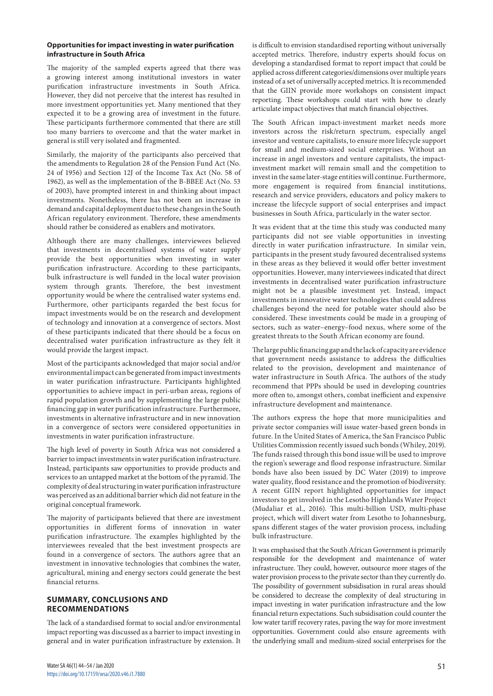## **Opportunities for impact investing in water purification infrastructure in South Africa**

The majority of the sampled experts agreed that there was a growing interest among institutional investors in water purification infrastructure investments in South Africa. However, they did not perceive that the interest has resulted in more investment opportunities yet. Many mentioned that they expected it to be a growing area of investment in the future. These participants furthermore commented that there are still too many barriers to overcome and that the water market in general is still very isolated and fragmented.

Similarly, the majority of the participants also perceived that the amendments to Regulation 28 of the Pension Fund Act (No. 24 of 1956) and Section 12J of the Income Tax Act (No. 58 of 1962), as well as the implementation of the B-BBEE Act (No. 53 of 2003), have prompted interest in and thinking about impact investments. Nonetheless, there has not been an increase in demand and capital deployment due to these changes in the South African regulatory environment. Therefore, these amendments should rather be considered as enablers and motivators.

Although there are many challenges, interviewees believed that investments in decentralised systems of water supply provide the best opportunities when investing in water purification infrastructure. According to these participants, bulk infrastructure is well funded in the local water provision system through grants. Therefore, the best investment opportunity would be where the centralised water systems end. Furthermore, other participants regarded the best focus for impact investments would be on the research and development of technology and innovation at a convergence of sectors. Most of these participants indicated that there should be a focus on decentralised water purification infrastructure as they felt it would provide the largest impact.

Most of the participants acknowledged that major social and/or environmental impact can be generated from impact investments in water purification infrastructure. Participants highlighted opportunities to achieve impact in peri-urban areas, regions of rapid population growth and by supplementing the large public financing gap in water purification infrastructure. Furthermore, investments in alternative infrastructure and in new innovation in a convergence of sectors were considered opportunities in investments in water purification infrastructure.

The high level of poverty in South Africa was not considered a barrier to impact investments in water purification infrastructure. Instead, participants saw opportunities to provide products and services to an untapped market at the bottom of the pyramid. The complexity of deal structuring in water purification infrastructure was perceived as an additional barrier which did not feature in the original conceptual framework.

The majority of participants believed that there are investment opportunities in different forms of innovation in water purification infrastructure. The examples highlighted by the interviewees revealed that the best investment prospects are found in a convergence of sectors. The authors agree that an investment in innovative technologies that combines the water, agricultural, mining and energy sectors could generate the best financial returns.

# **SUMMARY, CONCLUSIONS AND RECOMMENDATIONS**

The lack of a standardised format to social and/or environmental impact reporting was discussed as a barrier to impact investing in general and in water purification infrastructure by extension. It is difficult to envision standardised reporting without universally accepted metrics. Therefore, industry experts should focus on developing a standardised format to report impact that could be applied across different categories/dimensions over multiple years instead of a set of universally accepted metrics. It is recommended that the GIIN provide more workshops on consistent impact reporting. These workshops could start with how to clearly articulate impact objectives that match financial objectives.

The South African impact-investment market needs more investors across the risk/return spectrum, especially angel investor and venture capitalists, to ensure more lifecycle support for small and medium-sized social enterprises. Without an increase in angel investors and venture capitalists, the impactinvestment market will remain small and the competition to invest in the same later-stage entities will continue. Furthermore, more engagement is required from financial institutions, research and service providers, educators and policy makers to increase the lifecycle support of social enterprises and impact businesses in South Africa, particularly in the water sector.

It was evident that at the time this study was conducted many participants did not see viable opportunities in investing directly in water purification infrastructure. In similar vein, participants in the present study favoured decentralised systems in these areas as they believed it would offer better investment opportunities. However, many interviewees indicated that direct investments in decentralised water purification infrastructure might not be a plausible investment yet. Instead, impact investments in innovative water technologies that could address challenges beyond the need for potable water should also be considered. These investments could be made in a grouping of sectors, such as water–energy–food nexus, where some of the greatest threats to the South African economy are found.

The large public financing gap and the lack of capacity are evidence that government needs assistance to address the difficulties related to the provision, development and maintenance of water infrastructure in South Africa. The authors of the study recommend that PPPs should be used in developing countries more often to, amongst others, combat inefficient and expensive infrastructure development and maintenance.

The authors express the hope that more municipalities and private sector companies will issue water-based green bonds in future. In the United States of America, the San Francisco Public Utilities Commission recently issued such bonds (Whiley, 2019). The funds raised through this bond issue will be used to improve the region's sewerage and flood response infrastructure. Similar bonds have also been issued by DC Water (2019) to improve water quality, flood resistance and the promotion of biodiversity. A recent GIIN report highlighted opportunities for impact investors to get involved in the Lesotho Highlands Water Project (Mudaliar et al., 2016). This multi-billion USD, multi-phase project, which will divert water from Lesotho to Johannesburg, spans different stages of the water provision process, including bulk infrastructure.

It was emphasised that the South African Government is primarily responsible for the development and maintenance of water infrastructure. They could, however, outsource more stages of the water provision process to the private sector than they currently do. The possibility of government subsidisation in rural areas should be considered to decrease the complexity of deal structuring in impact investing in water purification infrastructure and the low financial return expectations. Such subsidisation could counter the low water tariff recovery rates, paving the way for more investment opportunities. Government could also ensure agreements with the underlying small and medium-sized social enterprises for the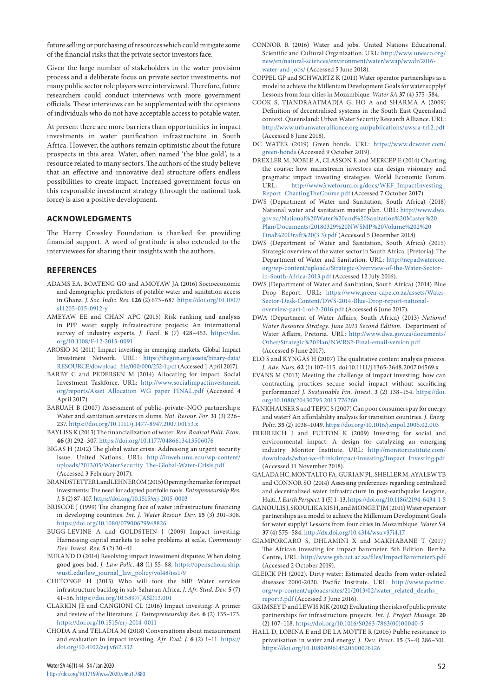future selling or purchasing of resources which could mitigate some of the financial risks that the private sector investors face.

Given the large number of stakeholders in the water provision process and a deliberate focus on private sector investments, not many public sector role players were interviewed. Therefore, future researchers could conduct interviews with more government officials. These interviews can be supplemented with the opinions of individuals who do not have acceptable access to potable water.

At present there are more barriers than opportunities in impact investments in water purification infrastructure in South Africa. However, the authors remain optimistic about the future prospects in this area. Water, often named 'the blue gold', is a resource related to many sectors. The authors of the study believe that an effective and innovative deal structure offers endless possibilities to create impact. Increased government focus on this responsible investment strategy (through the national task force) is also a positive development.

# **ACKNOWLEDGMENTS**

The Harry Crossley Foundation is thanked for providing financial support. A word of gratitude is also extended to the interviewees for sharing their insights with the authors.

# **REFERENCES**

- ADAMS EA, BOATENG GO and AMOYAW JA (2016) Socioeconomic and demographic predictors of potable water and sanitation access in Ghana. *J. Soc. Indic. Res.* **126** (2) 673–687. [https://doi.org/10.1007/](https://doi.org/10.1007/s11205-015-0912-y) [s11205-015-0912-y](https://doi.org/10.1007/s11205-015-0912-y)
- AMEYAW EE and CHAN APC (2015) Risk ranking and analysis in PPP water supply infrastructure projects: An international survey of industry experts. *J. Facil.* **8** (7) 428–453. [https://doi.](https://doi.org/10.1108/F-12-2013-0091) [org/10.1108/F-12-2013-0091](https://doi.org/10.1108/F-12-2013-0091)
- AROSIO M (2011) Impact investing in emerging markets. Global Impact Investment Network. URL: [https://thegiin.org/assets/binary-data/](https://thegiin.org/assets/binary-data/RESOURCE/download_file/000/000/252-1.pdf) [RESOURCE/download\\_file/000/000/252-1.pdf](https://thegiin.org/assets/binary-data/RESOURCE/download_file/000/000/252-1.pdf) (Accessed 1 April 2017).
- BARBY C and PEDERSEN M (2014) Allocating for impact. Social Investment Taskforce. URL: [http://www.socialimpactinvestment.](http://www.socialimpactinvestment.org/reports/Asset%20Allocation%20WG%20paper%20FINAL.pdf) [org/reports/Asset Allocation WG paper FINAL.pdf](http://www.socialimpactinvestment.org/reports/Asset%20Allocation%20WG%20paper%20FINAL.pdf) (Accessed 4 April 2017).
- BARUAH B (2007) Assessment of public–private–NGO partnerships: Water and sanitation services in slums. *Nat. Resour. For.* **31** (3) 226– 237.<https://doi.org/10.1111/j.1477-8947.2007.00153.x>
- BAYLISS K (2013) The financialization of water. *Rev. Radical Polit. Econ.* **46** (3) 292–307. <https://doi.org/10.1177/0486613413506076>
- BIGAS H (2012) The global water crisis: Addressing an urgent security issue. United Nations. URL: [http://inweh.unu.edu/wp-content/](http://inweh.unu.edu/wp-content/uploads/2013/05/WaterSecurity_The-Global-Water-Crisis.pdf) [uploads/2013/05/WaterSecurity\\_The-Global-Water-Crisis.pdf](http://inweh.unu.edu/wp-content/uploads/2013/05/WaterSecurity_The-Global-Water-Crisis.pdf) (Accessed 3 February 2017).
- BRANDSTETTER L and LEHNER OM (2015) Opening the market for impact investments: The need for adapted portfolio tools. *Entrepreneurship Res. J.* **5** (2) 87–107.<https://doi.org/10.1515/erj-2015-0003>
- BRISCOE J (1999) [The changing face of water infrastructure financing](https://www.tandfonline.com/doi/abs/10.1080/07900629948826)  [in developing countries.](https://www.tandfonline.com/doi/abs/10.1080/07900629948826) *[Int. J. Water Resour. Dev.](https://www.tandfonline.com/toc/cijw20/current)* **15** [\(3\)](https://www.tandfonline.com/toc/cijw20/15/3) 301–308. <https://doi.org/10.1080/07900629948826>
- BUGG-LEVINE A and GOLDSTEIN J (2009) Impact investing: Harnessing capital markets to solve problems at scale. *Community Dev. Invest. Rev.* **5** (2) 30–41.
- BURAND D (2014) Resolving impact investment disputes: When doing good goes bad. *J. Law Polic.* **48** (1) 55–88. [https://openscholarship.](https://openscholarship.wustl.edu/law_journal_law_policy/vol48/iss1/9) [wustl.edu/law\\_journal\\_law\\_policy/vol48/iss1/9](https://openscholarship.wustl.edu/law_journal_law_policy/vol48/iss1/9)
- CHITONGE H (2013) Who will foot the bill? Water services infrastructure backlog in sub-Saharan Africa. *J. Afr. Stud. Dev.* **5** (7) 41–56. <https://doi.org/10.5897/JASD13.001>
- CLARKIN JE and CANGIONI CL (2016) Impact investing: A primer and review of the literature. *J. Entrepreneurship Res.* **6** (2) 135–173. <https://doi.org/10.1515/erj-2014-0011>
- CHODA A and TELADIA M (2018) Conversations about measurement and evaluation in impact investing. *Afr. Eval. J.* **6** (2) 1–11. [https://](https://doi.org/10.4102/aej.v6i2.332) [doi.org/10.4102/aej.v6i2.332](https://doi.org/10.4102/aej.v6i2.332)
- CONNOR R (2016) Water and jobs. United Nations Educational, Scientific and Cultural Organization. URL: [http://www.unesco.org/](http://www.unesco.org/new/en/natural-sciences/environment/water/wwap/wwdr/2016-water-and-jobs/) [new/en/natural-sciences/environment/water/wwap/wwdr/2016](http://www.unesco.org/new/en/natural-sciences/environment/water/wwap/wwdr/2016-water-and-jobs/) [water-and-jobs/](http://www.unesco.org/new/en/natural-sciences/environment/water/wwap/wwdr/2016-water-and-jobs/) (Accessed 5 June 2018).
- COPPEL GP and SCHWARTZ K (2011) Water operator partnerships as a model to achieve the Millenium Development Goals for water supply? Lessons from four cities in Mozambique. *Water SA* **37** (4) 575–584.
- COOK S, TJANDRAATMADJA G, HO A and SHARMA A (2009) Definition of decentralised systems in the South East Queensland context. Queensland: Urban Water Security Research Alliance. URL: <http://www.urbanwateralliance.org.au/publications/uwsra-tr12.pdf> (Accessed 8 June 2018).
- DC WATER (2019) Green bonds. URL: [https://www.dcwater.com/](https://www.dcwater.com/green-bonds) [green-bonds](https://www.dcwater.com/green-bonds) (Accessed 9 October 2019).
- DREXLER M, NOBLE A, CLASSON E and MERCEP E (2014) Charting the course: how mainstream investors can design visionary and pragmatic impact investing strategies. World Economic Forum. URL: [http://www3.weforum.org/docs/WEF\\_ImpactInvesting\\_](http://www3.weforum.org/docs/WEF_ImpactInvesting_Report_ChartingTheCourse.pdf) [Report\\_ChartingTheCourse.pdf](http://www3.weforum.org/docs/WEF_ImpactInvesting_Report_ChartingTheCourse.pdf) (Accessed 7 October 2017).
- DWS (Department of Water and Sanitation, South Africa) (2018) National water and sanitation master plan. URL: [http://www.dwa.](http://www.dwa.gov.za/National%20Water%20and%20Sanitation%20Master%20Plan/Documents/20180329%20NWSMP%20Volume%202%20Final%20Draft%20(3.3).pdf) [gov.za/National%20Water%20and%20Sanitation%20Master%20](http://www.dwa.gov.za/National%20Water%20and%20Sanitation%20Master%20Plan/Documents/20180329%20NWSMP%20Volume%202%20Final%20Draft%20(3.3).pdf) [Plan/Documents/20180329%20NWSMP%20Volume%202%20](http://www.dwa.gov.za/National%20Water%20and%20Sanitation%20Master%20Plan/Documents/20180329%20NWSMP%20Volume%202%20Final%20Draft%20(3.3).pdf) [Final%20Draft%20\(3.3\).pdf](http://www.dwa.gov.za/National%20Water%20and%20Sanitation%20Master%20Plan/Documents/20180329%20NWSMP%20Volume%202%20Final%20Draft%20(3.3).pdf) (Accessed 5 December 2018).
- DWS (Department of Water and Sanitation, South Africa) (2015) Strategic overview of the water sector in South Africa. [Pretoria]: The Department of Water and Sanitation. URL: [http://nepadwatercoe.](http://nepadwatercoe.org/wp-content/uploads/Strategic-Overview-of-the-Water-Sector-in-South-Africa-2013.pdf) [org/wp-content/uploads/Strategic-Overview-of-the-Water-Sector](http://nepadwatercoe.org/wp-content/uploads/Strategic-Overview-of-the-Water-Sector-in-South-Africa-2013.pdf)[in-South-Africa-2013.pdf](http://nepadwatercoe.org/wp-content/uploads/Strategic-Overview-of-the-Water-Sector-in-South-Africa-2013.pdf) (Accessed 12 July 2016).
- DWS (Department of Water and Sanitation, South Africa) (2014) Blue Drop Report. URL: [https://www.green-cape.co.za/assets/Water-](https://www.green-cape.co.za/assets/Water-Sector-Desk-Content/DWS-2014-Blue-Drop-report-national-overview-part-1-of-2-2016.pdf)[Sector-Desk-Content/DWS-2014-Blue-Drop-report-national](https://www.green-cape.co.za/assets/Water-Sector-Desk-Content/DWS-2014-Blue-Drop-report-national-overview-part-1-of-2-2016.pdf)[overview-part-1-of-2-2016.pdf](https://www.green-cape.co.za/assets/Water-Sector-Desk-Content/DWS-2014-Blue-Drop-report-national-overview-part-1-of-2-2016.pdf) (Accessed 6 June 2017).
- DWA (Department of Water Affairs, South Africa) (2013) *National Water Resource Strategy. June 2013 Second Edition*. Department of Water Affairs, Pretoria. URL: [http://www.dwa.gov.za/documents/](http://www.dwa.gov.za/documents/Other/Strategic%20Plan/NWRS2-Final-email-version.pdf) [Other/Strategic%20Plan/NWRS2-Final-email-version.pdf](http://www.dwa.gov.za/documents/Other/Strategic%20Plan/NWRS2-Final-email-version.pdf) (Accessed 6 June 2017).
- ELO S and KYNGÄS H (2007) The qualitative content analysis process. *J. Adv. Nurs.* **62** (1) 107–115. doi:10.1111/j.1365-2648.2007.04569.x
- EVANS M (2013) Meeting the challenge of impact investing: how can contracting practices secure social impact without sacrificing performance? *J. Sustainable Fin. Invest.* **3** (2) 138–154. [https://doi.](https://doi.org/10.1080/20430795.2013.776260) [org/10.1080/20430795.2013.776260](https://doi.org/10.1080/20430795.2013.776260)
- FANKHAUSER S and TEPIC S (2007) Can poor consumers pay for energy and water? An affordability analysis for transition countries. *J. Energ. Polic.* **35** (2) 1038–1049.<https://doi.org/10.1016/j.enpol.2006.02.003>
- FREIREICH J and FULTON K (2009) Investing for social and environmental impact: A design for catalyzing an emerging industry. Monitor Institute. URL: [http://monitorinstitute.com/](http://monitorinstitute.com/downloads/what-we-think/impact-investing/Impact_Investing.pdf) [downloads/what-we-think/impact-investing/Impact\\_Investing.pdf](http://monitorinstitute.com/downloads/what-we-think/impact-investing/Impact_Investing.pdf) (Accessed 11 November 2018).
- GALADA HC, MONTALTO FA, GURIAN PL, SHELLER M, AYALEW TB and CONNOR SO (2014) Assessing preferences regarding centralized and decentralized water infrastructure in post-earthquake Leogane, Haiti. *J. Earth Perspect.***1** (5) 1–13.<https://doi.org/10.1186/2194-6434-1-5>
- GANOULIS J, SKOULIKARIS H, and MONGET JM (2011) Water operator partnerships as a model to achieve the Millenium Development Goals for water supply? Lessons from four cities in Mozambique. *Water SA* **37** (4) 575–584.<http://dx.doi.org/10.4314/wsa.v37i4.17>
- GIAMPORCARO S, DHLAMINI X and MAKHABANE T (2017) The African investing for impact barometer. 5th Edition. Bertha Centre, URL: <http://www.gsb.uct.ac.za/files/ImpactBarometer5.pdf> (Accessed 2 October 2019).
- GLEICK PH (2002). Dirty water: Estimated deaths from water-related diseases 2000-2020. Pacific Institute. URL: [http://www.pacinst.](http://www.pacinst.org/wp-content/uploads/sites/21/2013/02/water_related_deaths_report3.pdf) [org/wp-content/uploads/sites/21/2013/02/water\\_related\\_deaths\\_](http://www.pacinst.org/wp-content/uploads/sites/21/2013/02/water_related_deaths_report3.pdf) [report3.pdf](http://www.pacinst.org/wp-content/uploads/sites/21/2013/02/water_related_deaths_report3.pdf) (Accessed 3 June 2016).
- GRIMSEY D and LEWIS MK (2002) Evaluating the risks of public private partnerships for infrastructure projects. *Int. J. Project Manage.* **20** (2) 107–118. [https://doi.org/10.1016/S0263-7863\(00\)00040-5](https://doi.org/10.1016/S0263-7863(00)00040-5)
- HALL D, LOBINA E and DE LA MOTTE R (2005) Public resistance to privatisation in water and energy. *J. Dev. Pract.* **15** (3–4) 286–301. <https://doi.org/10.1080/09614520500076126>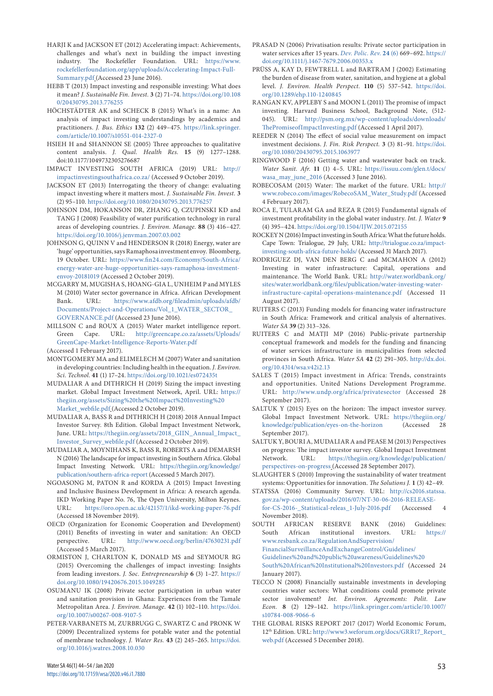- HARJI K and JACKSON ET (2012) Accelerating impact: Achievements, challenges and what's next in building the impact investing industry. The Rockefeller Foundation. URL: [https://www.](https://www.rockefellerfoundation.org/app/uploads/Accelerating-Impact-Full-Summary.pdf) [rockefellerfoundation.org/app/uploads/Accelerating-Impact-Full-](https://www.rockefellerfoundation.org/app/uploads/Accelerating-Impact-Full-Summary.pdf)[Summary.pdf](https://www.rockefellerfoundation.org/app/uploads/Accelerating-Impact-Full-Summary.pdf) (Accessed 23 June 2016).
- HEBB T (2013) Impact investing and responsible investing: What does it mean? *J. Sustainable Fin. Invest.* **3** (2) 71–74. [https://doi.org/10.108](https://doi.org/10.1080/20430795.2013.776255) [0/20430795.2013.776255](https://doi.org/10.1080/20430795.2013.776255)
- HÖCHSTÄDTER AK and SCHECK B (2015) What's in a name: An analysis of impact investing understandings by academics and practitioners. *J. Bus. Ethics* **132** (2) 449–475. [https://link.springer.](https://link.springer.com/article/10.1007/s10551-014-2327-0) [com/article/10.1007/s10551-014-2327-0](https://link.springer.com/article/10.1007/s10551-014-2327-0)
- HSIEH H and SHANNON SE (2005) Three approaches to qualitative content analysis. *J. Qual. Health Res.* **15** (9) 1277–1288. doi:10.1177/1049732305276687
- IMPACT INVESTING SOUTH AFRICA (2019) URL: [http://](http://impactinvestingsouthafrica.co.za/) [impactinvestingsouthafrica.co.za/](http://impactinvestingsouthafrica.co.za/) (Accessed 9 October 2019).
- JACKSON ET (2013) Interrogating the theory of change: evaluating impact investing where it matters most. *J. Sustainable Fin. Invest.* **3**  (2) 95–110. <https://doi.org/10.1080/20430795.2013.776257>
- JOHNSON DM, HOKANSON DR, ZHANG Q, CZUPINSKI KD and TANG J (2008) Feasibility of water purification technology in rural areas of developing countries. *J. Environ. Manage.* **88** (3) 416–427. <https://doi.org/10.1016/j.jenvman.2007.03.002>
- JOHNSON G, QUINN V and HENDERSON R (2018) Energy, water are 'huge' opportunities, says Ramaphosa investment envoy. Bloomberg, 19 October. URL: [https://www.fin24.com/Economy/South-Africa/](https://www.fin24.com/Economy/South-Africa/energy-water-are-huge-opportunities-says-ramaphosa-investment-envoy-20181019) [energy-water-are-huge-opportunities-says-ramaphosa-investment](https://www.fin24.com/Economy/South-Africa/energy-water-are-huge-opportunities-says-ramaphosa-investment-envoy-20181019)[envoy-20181019](https://www.fin24.com/Economy/South-Africa/energy-water-are-huge-opportunities-says-ramaphosa-investment-envoy-20181019) (Accessed 2 October 2019).
- MCGARRY M, MUGISHA S, HOANG-GIA L, UNHEIM P and MYLES M (2010) Water sector governance in Africa. African Development Bank. URL: [https://www.afdb.org/fileadmin/uploads/afdb/](https://www.afdb.org/fileadmin/uploads/afdb/Documents/Project-and-Operations/Vol_1_WATER_SECTOR_GOVERNANCE.pdf) [Documents/Project-and-Operations/Vol\\_1\\_WATER\\_SECTOR\\_](https://www.afdb.org/fileadmin/uploads/afdb/Documents/Project-and-Operations/Vol_1_WATER_SECTOR_GOVERNANCE.pdf) [GOVERNANCE.pdf](https://www.afdb.org/fileadmin/uploads/afdb/Documents/Project-and-Operations/Vol_1_WATER_SECTOR_GOVERNANCE.pdf) (Accessed 23 June 2016).
- MILLSON C and ROUX A (2015) Water market intelligence report. Green Cape. URL: [http://greencape.co.za/assets/Uploads/](http://greencape.co.za/assets/Uploads/GreenCape-Market-Intelligence-Reports-Water.pdf) [GreenCape-Market-Intelligence-Reports-Water.pdf](http://greencape.co.za/assets/Uploads/GreenCape-Market-Intelligence-Reports-Water.pdf) (Accessed 1 February 2017).
- MONTGOMERY MA and ELIMELECH M (2007) Water and sanitation in developing countries: Including health in the equation. *J. Environ. Sci. Technol.* **41** (1) 17–24. <https://doi.org/10.1021/es072435t>
- MUDALIAR A and DITHRICH H (2019) Sizing the impact investing market. Global Impact Investment Network, April. URL: [https://](https://thegiin.org/assets/Sizing%20the%20Impact%20Investing%20Market_webfile.pdf) [thegiin.org/assets/Sizing%20the%20Impact%20Investing%20](https://thegiin.org/assets/Sizing%20the%20Impact%20Investing%20Market_webfile.pdf) [Market\\_webfile.pdf](https://thegiin.org/assets/Sizing%20the%20Impact%20Investing%20Market_webfile.pdf) (Accessed 2 October 2019).
- MUDALIAR A, BASS R and DITHRICH H (2018) 2018 Annual Impact Investor Survey. 8th Edition. Global Impact Investment Network, June. URL: [https://thegiin.org/assets/2018\\_GIIN\\_Annual\\_Impact\\_](https://thegiin.org/assets/2018_GIIN_Annual_Impact_Investor_Survey_webfile.pdf) [Investor\\_Survey\\_webfile.pdf](https://thegiin.org/assets/2018_GIIN_Annual_Impact_Investor_Survey_webfile.pdf) (Accessed 2 October 2019).
- MUDALIAR A, MOYNIHANS K, BASS R, ROBERTS A and DEMARSH N (2016) The landscape for impact investing in Southern Africa. Global Impact Investing Network. URL: [https://thegiin.org/knowledge/](https://thegiin.org/knowledge/publication/southern-africa-report) [publication/southern-africa-report](https://thegiin.org/knowledge/publication/southern-africa-report) (Accessed 5 March 2017).
- NGOASONG M, PATON R and KORDA A (2015) Impact Investing and Inclusive Business Development in Africa: A research agenda. IKD Working Paper No. 76, The Open University, Milton Keynes. URL: <https://oro.open.ac.uk/42157/1/ikd-working-paper-76.pdf> (Accessed 18 November 2019).
- OECD (Organization for Economic Cooperation and Development) (2011) Benefits of investing in water and sanitation: An OECD perspective. URL: <http://www.oecd.org/berlin/47630231.pdf> (Accessed 5 March 2017).
- ORMISTON J, CHARLTON K, DONALD MS and SEYMOUR RG (2015) Overcoming the challenges of impact investing: Insights from leading investors. *J. Soc. Entrepreneurship* **6** (3) 1–27. [https://](https://doi.org/10.1080/19420676.2015.1049285) [doi.org/10.1080/19420676.2015.1049285](https://doi.org/10.1080/19420676.2015.1049285)
- OSUMANU IK (2008) Private sector participation in urban water and sanitation provision in Ghana: Experiences from the Tamale Metropolitan Area. *J. Environ. Manage.* **42** (1) 102–110. [https://doi.](https://doi.org/10.1007/s00267-008-9107-5) [org/10.1007/s00267-008-9107-5](https://doi.org/10.1007/s00267-008-9107-5)
- PETER-VARBANETS M, ZURBRUGG C, SWARTZ C and PRONK W (2009) Decentralized systems for potable water and the potential of membrane technology. *J. Water Res.* **43** (2) 245–265. [https://doi.](https://doi.org/10.1016/j.watres.2008.10.030) [org/10.1016/j.watres.2008.10.030](https://doi.org/10.1016/j.watres.2008.10.030)
- PRASAD N (2006) Privatisation results: Private sector participation in water services after 15 years. *Dev. Polic. Rev.* **24** (6) 669–692. [https://](https://doi.org/10.1111/j.1467-7679.2006.00353.x) [doi.org/10.1111/j.1467-7679.2006.00353.x](https://doi.org/10.1111/j.1467-7679.2006.00353.x)
- PRÜSS A, KAY D, FEWTRELL L and BARTRAM J (2002) Estimating the burden of disease from water, sanitation, and hygiene at a global level. *J. Environ. Health Perspect.* **110** (5) 537–542. [https://doi.](https://doi.org/10.1289/ehp.110-1240845) [org/10.1289/ehp.110-1240845](https://doi.org/10.1289/ehp.110-1240845)
- RANGAN KV, APPLEBY S and MOON L (2011) The promise of impact investing. Harvard Business School, Background Note, (512- 045). URL: [http://psm.org.mx/wp-content/uploads/downloads/](http://psm.org.mx/wp-content/uploads/downloads/ThePromiseofImpactInvesting.pdf) [ThePromiseofImpactInvesting.pdf](http://psm.org.mx/wp-content/uploads/downloads/ThePromiseofImpactInvesting.pdf) (Accessed 1 April 2017).
- REEDER N (2014) The effect of social value measurement on impact investment decisions. *J. Fin. Risk Perspect.* **3** (3) 81–91. [https://doi.](https://doi.org/10.1080/20430795.2015.1063977) [org/10.1080/20430795.2015.1063977](https://doi.org/10.1080/20430795.2015.1063977)
- RINGWOOD F (2016) Getting water and wastewater back on track. *Water Sanit. Afr.* **11** (1) 4–5. URL: [https://issuu.com/glen.t/docs/](https://issuu.com/glen.t/docs/wasa_may_june_2016) [wasa\\_may\\_june\\_2016](https://issuu.com/glen.t/docs/wasa_may_june_2016) (Accessed 3 June 2016).
- ROBECOSAM (2015) Water: The market of the future. URL: [http://](http://www.robeco.com/images/RobecoSAM_Water_Study.pdf) [www.robeco.com/images/RobecoSAM\\_Water\\_Study.pdf](http://www.robeco.com/images/RobecoSAM_Water_Study.pdf) (Accessed 4 February 2017).
- ROCA E, TULARAM GA and REZA R (2015) Fundamental signals of investment profitability in the global water industry. *Int. J. Water* **9** (4) 395–424.<https://doi.org/10.1504/IJW.2015.072155>
- ROCKEY N (2016) Impact investing in South Africa: What the future holds. Cape Town: Trialogue, 29 July, URL: [http://trialogue.co.za/impact](http://trialogue.co.za/impact-investing-south-africa-future-holds/)[investing-south-africa-future-holds/](http://trialogue.co.za/impact-investing-south-africa-future-holds/) (Accessed 31 March 2017).
- RODRIGUEZ DJ, VAN DEN BERG C and MCMAHON A (2012) Investing in water infrastructure: Capital, operations and maintenance. The World Bank. URL: [http://water.worldbank.org/](http://water.worldbank.org/sites/water.worldbank.org/files/publication/water-investing-water-infrastructure-capital-operations-maintenance.pdf) [sites/water.worldbank.org/files/publication/water-investing-water](http://water.worldbank.org/sites/water.worldbank.org/files/publication/water-investing-water-infrastructure-capital-operations-maintenance.pdf)[infrastructure-capital-operations-maintenance.pdf](http://water.worldbank.org/sites/water.worldbank.org/files/publication/water-investing-water-infrastructure-capital-operations-maintenance.pdf) (Accessed 11 August 2017).
- RUITERS C (2013) Funding models for financing water infrastructure in South Africa: Framework and critical analysis of alternatives. *Water SA* **39** (2) 313–326.
- RUITERS C and MATJI MP (2016) Public-private partnership conceptual framework and models for the funding and financing of water services infrastructure in municipalities from selected provinces in South Africa. *Water SA* **42** (2) 291–305. [http://dx.doi.](http://dx.doi.org/10.4314/wsa.v42i2.13) [org/10.4314/wsa.v42i2.13](http://dx.doi.org/10.4314/wsa.v42i2.13)
- SALES T (2015) Impact investment in Africa: Trends, constraints and opportunities. United Nations Development Programme. URL: <http://www.undp.org/africa/privatesector>(Accessed 28 September 2017).
- SALTUK Y (2015) Eyes on the horizon: The impact investor survey. Global Impact Investment Network. URL: [https://thegiin.org/](https://thegiin.org/knowledge/publication/eyes-on-the-horizon) [knowledge/publication/eyes-on-the-horizon](https://thegiin.org/knowledge/publication/eyes-on-the-horizon) (Accessed 28 September 2017).
- SALTUK Y, BOURI A, MUDALIAR A and PEASE M (2013) Perspectives on progress: The impact investor survey. Global Impact Investment Network. URL: [https://thegiin.org/knowledge/publication/](https://thegiin.org/knowledge/publication/perspectives-on-progress) [perspectives-on-progress](https://thegiin.org/knowledge/publication/perspectives-on-progress) (Accessed 28 September 2017).
- SLAUGHTER S (2010) Improving the sustainability of water treatment systems: Opportunities for innovation. *The Solutions J.* **1** (3) 42–49.
- STATSSA (2016) Community Survey. URL: [http://cs2016.statssa.](http://cs2016.statssa.gov.za/wp-content/uploads/2016/07/NT-30-06-2016-RELEASE-for-CS-2016-_Statistical-releas_1-July-2016.pdf) [gov.za/wp-content/uploads/2016/07/NT-30-06-2016-RELEASE](http://cs2016.statssa.gov.za/wp-content/uploads/2016/07/NT-30-06-2016-RELEASE-for-CS-2016-_Statistical-releas_1-July-2016.pdf)[for-CS-2016-\\_Statistical-releas\\_1-July-2016.pdf](http://cs2016.statssa.gov.za/wp-content/uploads/2016/07/NT-30-06-2016-RELEASE-for-CS-2016-_Statistical-releas_1-July-2016.pdf) (Acccessed 4
- November 2018).<br>UTH AFRICAN SOUTH AFRICAN RESERVE BANK (2016) Guidelines: South African institutional investors. URL: [https://](https://www.resbank.co.za/RegulationAndSupervision/FinancialSurveillanceAndExchangeControl/Guidelines/Guidelines%20and%20public%20awareness/Guidelines%20South%20African%20Institutional%20Investors.pdf) [www.resbank.co.za/RegulationAndSupervision/](https://www.resbank.co.za/RegulationAndSupervision/FinancialSurveillanceAndExchangeControl/Guidelines/Guidelines%20and%20public%20awareness/Guidelines%20South%20African%20Institutional%20Investors.pdf) [FinancialSurveillanceAndExchangeControl/Guidelines/](https://www.resbank.co.za/RegulationAndSupervision/FinancialSurveillanceAndExchangeControl/Guidelines/Guidelines%20and%20public%20awareness/Guidelines%20South%20African%20Institutional%20Investors.pdf) [Guidelines%20and%20public%20awareness/Guidelines%20](https://www.resbank.co.za/RegulationAndSupervision/FinancialSurveillanceAndExchangeControl/Guidelines/Guidelines%20and%20public%20awareness/Guidelines%20South%20African%20Institutional%20Investors.pdf) [South%20African%20Institutional%20Investors.pdf](https://www.resbank.co.za/RegulationAndSupervision/FinancialSurveillanceAndExchangeControl/Guidelines/Guidelines%20and%20public%20awareness/Guidelines%20South%20African%20Institutional%20Investors.pdf) (Accessed 24 January 2017).
- TECCO N (2008) Financially sustainable investments in developing countries water sectors: What conditions could promote private sector involvement? *Int. Environ. Agreements: Polit. Law Econ.* **8** (2) 129–142. [https://link.springer.com/article/10.1007/](https://link.springer.com/article/10.1007/s10784-008-9066-6) [s10784-008-9066-6](https://link.springer.com/article/10.1007/s10784-008-9066-6)
- THE GLOBAL RISKS REPORT 2017 (2017) World Economic Forum, 12th Edition. URL: [http://www3.weforum.org/docs/GRR17\\_Report\\_](http://www3.weforum.org/docs/GRR17_Report_web.pdf) [web.pdf](http://www3.weforum.org/docs/GRR17_Report_web.pdf) (Accessed 5 December 2018).